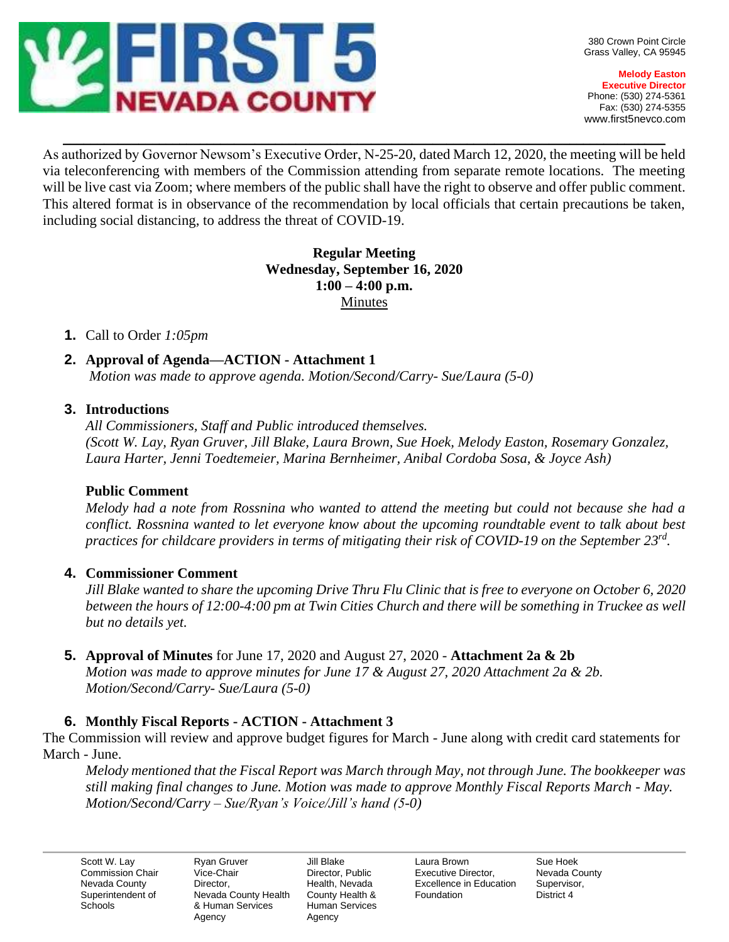

**Melody Easton Executive Director** Phone: (530) 274-5361 Fax: (530) 274-5355 www.first5nevco.com

As authorized by Governor Newsom's Executive Order, N-25-20, dated March 12, 2020, the meeting will be held via teleconferencing with members of the Commission attending from separate remote locations. The meeting will be live cast via Zoom; where members of the public shall have the right to observe and offer public comment. This altered format is in observance of the recommendation by local officials that certain precautions be taken, including social distancing, to address the threat of COVID-19.

 $\_$  , and the set of the set of the set of the set of the set of the set of the set of the set of the set of the set of the set of the set of the set of the set of the set of the set of the set of the set of the set of th

### **Regular Meeting Wednesday, September 16, 2020 1:00 – 4:00 p.m.** Minutes

### **1.** Call to Order *1:05pm*

**2. Approval of Agenda—ACTION - Attachment 1** *Motion was made to approve agenda. Motion/Second/Carry- Sue/Laura (5-0)*

# **3. Introductions**

*All Commissioners, Staff and Public introduced themselves. (Scott W. Lay, Ryan Gruver, Jill Blake, Laura Brown, Sue Hoek, Melody Easton, Rosemary Gonzalez, Laura Harter, Jenni Toedtemeier, Marina Bernheimer, Anibal Cordoba Sosa, & Joyce Ash)*

### **Public Comment**

*Melody had a note from Rossnina who wanted to attend the meeting but could not because she had a conflict. Rossnina wanted to let everyone know about the upcoming roundtable event to talk about best practices for childcare providers in terms of mitigating their risk of COVID-19 on the September 23rd .*

### **4. Commissioner Comment**

*Jill Blake wanted to share the upcoming Drive Thru Flu Clinic that is free to everyone on October 6, 2020 between the hours of 12:00-4:00 pm at Twin Cities Church and there will be something in Truckee as well but no details yet.* 

### **5. Approval of Minutes** for June 17, 2020 and August 27, 2020 - **Attachment 2a & 2b**

*Motion was made to approve minutes for June 17 & August 27, 2020 Attachment 2a & 2b. Motion/Second/Carry- Sue/Laura (5-0)*

# **6. Monthly Fiscal Reports - ACTION - Attachment 3**

The Commission will review and approve budget figures for March - June along with credit card statements for March - June.

*Melody mentioned that the Fiscal Report was March through May, not through June. The bookkeeper was still making final changes to June. Motion was made to approve Monthly Fiscal Reports March - May. Motion/Second/Carry – Sue/Ryan's Voice/Jill's hand (5-0)*

Scott W. Lay Commission Chair Nevada County Superintendent of **Schools** 

Ryan Gruver Vice-Chair Director, Nevada County Health & Human Services Agency

Jill Blake Director, Public Health, Nevada County Health & Human Services Agency

Laura Brown Executive Director, Excellence in Education Foundation

Sue Hoek Nevada County Supervisor, District 4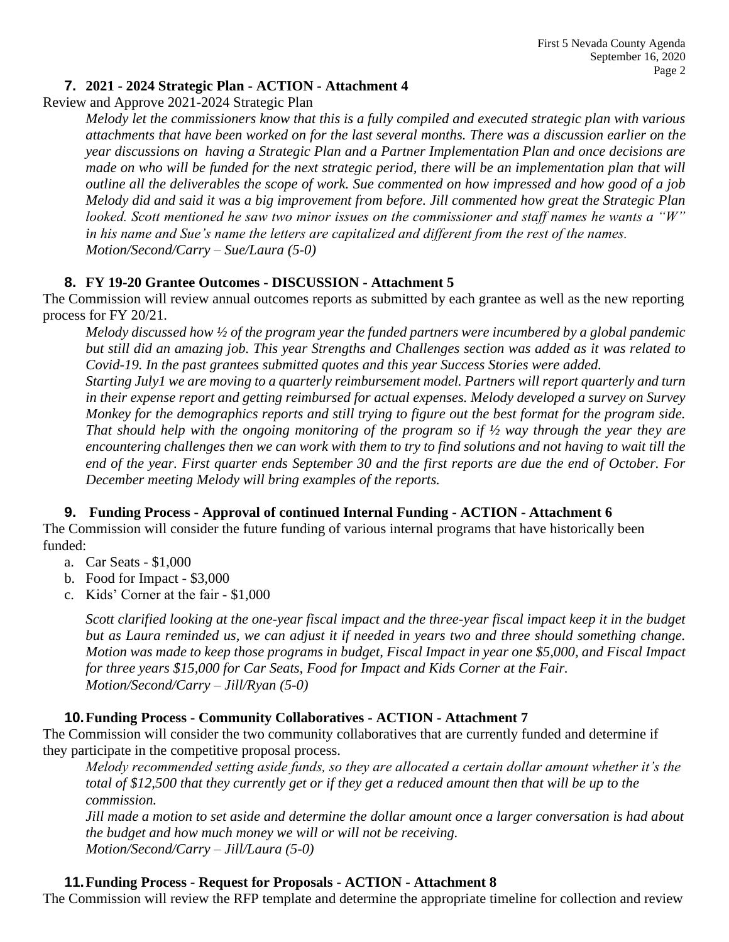# **7. 2021 - 2024 Strategic Plan - ACTION - Attachment 4**

Review and Approve 2021-2024 Strategic Plan

*Melody let the commissioners know that this is a fully compiled and executed strategic plan with various attachments that have been worked on for the last several months. There was a discussion earlier on the year discussions on having a Strategic Plan and a Partner Implementation Plan and once decisions are made on who will be funded for the next strategic period, there will be an implementation plan that will outline all the deliverables the scope of work. Sue commented on how impressed and how good of a job Melody did and said it was a big improvement from before. Jill commented how great the Strategic Plan looked. Scott mentioned he saw two minor issues on the commissioner and staff names he wants a "W" in his name and Sue's name the letters are capitalized and different from the rest of the names. Motion/Second/Carry – Sue/Laura (5-0)* 

# **8. FY 19-20 Grantee Outcomes - DISCUSSION - Attachment 5**

The Commission will review annual outcomes reports as submitted by each grantee as well as the new reporting process for FY 20/21.

*Melody discussed how ½ of the program year the funded partners were incumbered by a global pandemic but still did an amazing job. This year Strengths and Challenges section was added as it was related to Covid-19. In the past grantees submitted quotes and this year Success Stories were added.* 

*Starting July1 we are moving to a quarterly reimbursement model. Partners will report quarterly and turn in their expense report and getting reimbursed for actual expenses. Melody developed a survey on Survey Monkey for the demographics reports and still trying to figure out the best format for the program side. That should help with the ongoing monitoring of the program so if ½ way through the year they are encountering challenges then we can work with them to try to find solutions and not having to wait till the end of the year. First quarter ends September 30 and the first reports are due the end of October. For December meeting Melody will bring examples of the reports.*

### **9. Funding Process - Approval of continued Internal Funding - ACTION - Attachment 6**

The Commission will consider the future funding of various internal programs that have historically been funded:

- a. Car Seats \$1,000
- b. Food for Impact \$3,000
- c. Kids' Corner at the fair \$1,000

*Scott clarified looking at the one-year fiscal impact and the three-year fiscal impact keep it in the budget but as Laura reminded us, we can adjust it if needed in years two and three should something change. Motion was made to keep those programs in budget, Fiscal Impact in year one \$5,000, and Fiscal Impact for three years \$15,000 for Car Seats, Food for Impact and Kids Corner at the Fair. Motion/Second/Carry – Jill/Ryan (5-0)* 

### **10.Funding Process - Community Collaboratives - ACTION - Attachment 7**

The Commission will consider the two community collaboratives that are currently funded and determine if they participate in the competitive proposal process.

*Melody recommended setting aside funds, so they are allocated a certain dollar amount whether it's the total of \$12,500 that they currently get or if they get a reduced amount then that will be up to the commission.*

*Jill made a motion to set aside and determine the dollar amount once a larger conversation is had about the budget and how much money we will or will not be receiving. Motion/Second/Carry – Jill/Laura (5-0)*

### **11.Funding Process - Request for Proposals - ACTION - Attachment 8**

The Commission will review the RFP template and determine the appropriate timeline for collection and review